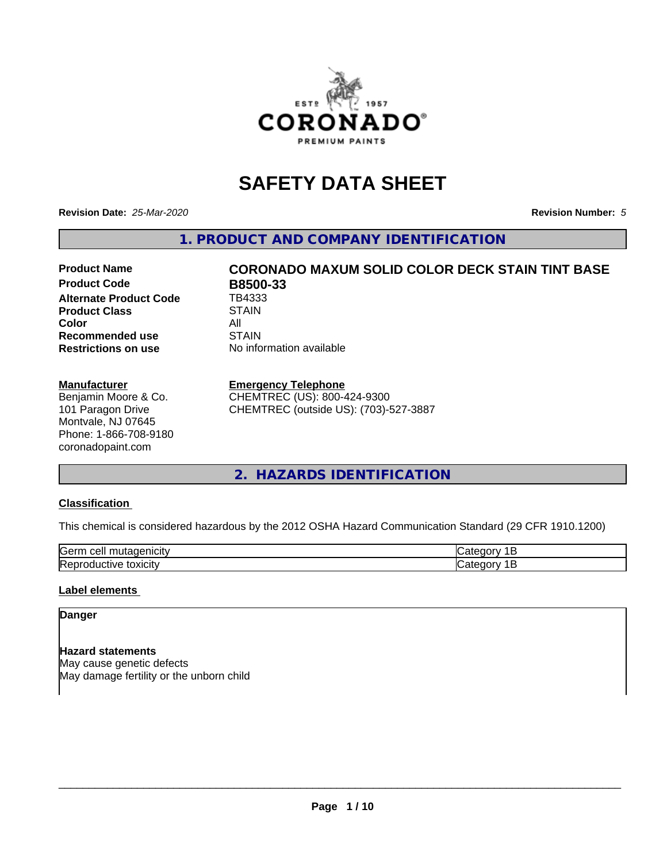

## **SAFETY DATA SHEET**

**Revision Date:** *25-Mar-2020* **Revision Number:** *5*

**1. PRODUCT AND COMPANY IDENTIFICATION**

# **Product Name CORONADO MAXUM SOLID COLOR DECK STAIN TINT BASE**

**Product Code B8500-33**<br>Alternate Product Code TB4333 **Alternate Product Code Product Class STAIN Color** All All<br>**Recommended use** STAIN **Recommended use Restrictions on use** No information available

## **Manufacturer**

Benjamin Moore & Co. 101 Paragon Drive Montvale, NJ 07645 Phone: 1-866-708-9180 coronadopaint.com

## **Emergency Telephone**

CHEMTREC (US): 800-424-9300 CHEMTREC (outside US): (703)-527-3887

## **2. HAZARDS IDENTIFICATION**

## **Classification**

This chemical is considered hazardous by the 2012 OSHA Hazard Communication Standard (29 CFR 1910.1200)

| -<br>$A + A$<br>eυ<br>ш |  |
|-------------------------|--|
| .<br>- -<br>'ICL<br>-   |  |

## **Label elements**

## **Danger**

**Hazard statements** May cause genetic defects May damage fertility or the unborn child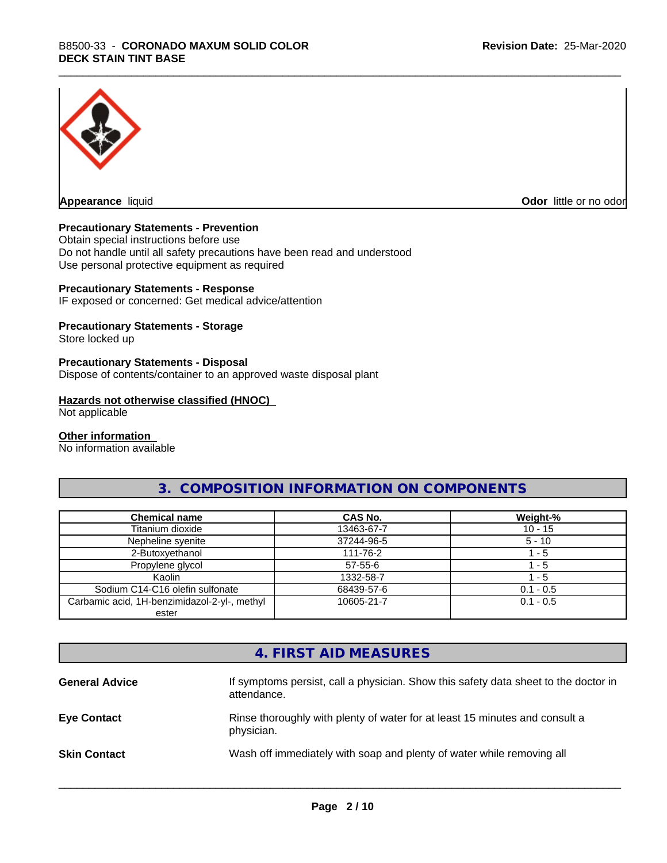

**Appearance** liquid **Odor in the original of the original of the original of the original of the original of the original of the original of the original of the original of the original of the original of the original of t** 

## **Precautionary Statements - Prevention**

Obtain special instructions before use Do not handle until all safety precautions have been read and understood Use personal protective equipment as required

## **Precautionary Statements - Response**

IF exposed or concerned: Get medical advice/attention

## **Precautionary Statements - Storage**

Store locked up

#### **Precautionary Statements - Disposal**

Dispose of contents/container to an approved waste disposal plant

#### **Hazards not otherwise classified (HNOC)**

Not applicable

#### **Other information**

No information available

## **3. COMPOSITION INFORMATION ON COMPONENTS**

| <b>Chemical name</b>                         | CAS No.       | Weight-%    |
|----------------------------------------------|---------------|-------------|
| Titanium dioxide                             | 13463-67-7    | $10 - 15$   |
| Nepheline syenite                            | 37244-96-5    | $5 - 10$    |
| 2-Butoxyethanol                              | 111-76-2      | $-5$        |
| Propylene glycol                             | $57 - 55 - 6$ | - 5         |
| Kaolin                                       | 1332-58-7     | - 5         |
| Sodium C14-C16 olefin sulfonate              | 68439-57-6    | $0.1 - 0.5$ |
| Carbamic acid, 1H-benzimidazol-2-yl-, methyl | 10605-21-7    | $0.1 - 0.5$ |
| ester                                        |               |             |

## **4. FIRST AID MEASURES**

| <b>General Advice</b> | If symptoms persist, call a physician. Show this safety data sheet to the doctor in<br>attendance. |
|-----------------------|----------------------------------------------------------------------------------------------------|
| <b>Eye Contact</b>    | Rinse thoroughly with plenty of water for at least 15 minutes and consult a<br>physician.          |
| <b>Skin Contact</b>   | Wash off immediately with soap and plenty of water while removing all                              |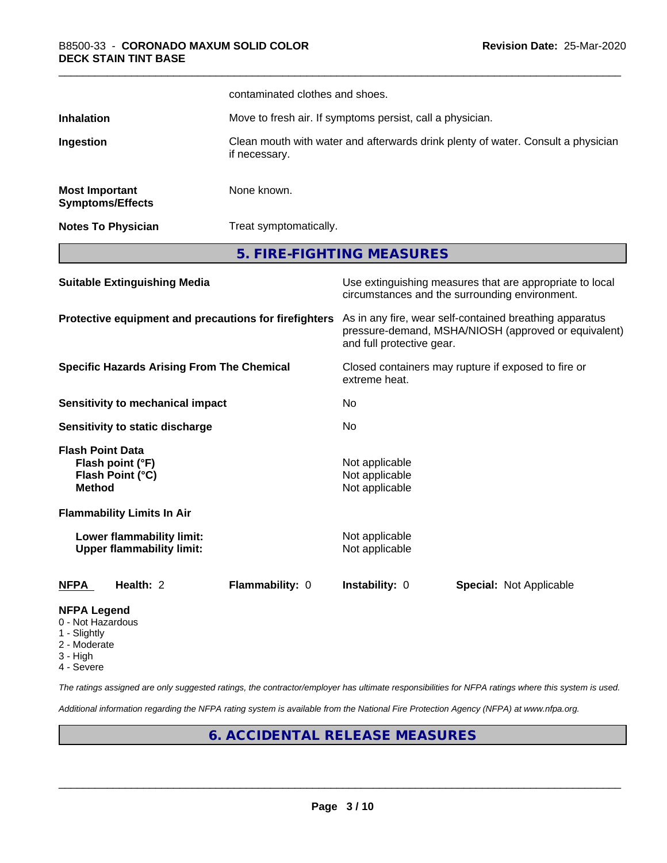|                                                                         |                                                               | contaminated clothes and shoes.                                      |                                                                                  |                                                                                                                 |  |  |
|-------------------------------------------------------------------------|---------------------------------------------------------------|----------------------------------------------------------------------|----------------------------------------------------------------------------------|-----------------------------------------------------------------------------------------------------------------|--|--|
| Inhalation                                                              |                                                               | Move to fresh air. If symptoms persist, call a physician.            |                                                                                  |                                                                                                                 |  |  |
| Ingestion                                                               |                                                               | if necessary.                                                        | Clean mouth with water and afterwards drink plenty of water. Consult a physician |                                                                                                                 |  |  |
| <b>Most Important</b>                                                   | <b>Symptoms/Effects</b>                                       | None known.                                                          |                                                                                  |                                                                                                                 |  |  |
|                                                                         | <b>Notes To Physician</b>                                     |                                                                      | Treat symptomatically.                                                           |                                                                                                                 |  |  |
|                                                                         |                                                               | 5. FIRE-FIGHTING MEASURES                                            |                                                                                  |                                                                                                                 |  |  |
|                                                                         | <b>Suitable Extinguishing Media</b>                           |                                                                      |                                                                                  | Use extinguishing measures that are appropriate to local<br>circumstances and the surrounding environment.      |  |  |
|                                                                         |                                                               | Protective equipment and precautions for firefighters                | and full protective gear.                                                        | As in any fire, wear self-contained breathing apparatus<br>pressure-demand, MSHA/NIOSH (approved or equivalent) |  |  |
| <b>Specific Hazards Arising From The Chemical</b>                       |                                                               | Closed containers may rupture if exposed to fire or<br>extreme heat. |                                                                                  |                                                                                                                 |  |  |
|                                                                         | <b>Sensitivity to mechanical impact</b>                       |                                                                      | No                                                                               |                                                                                                                 |  |  |
|                                                                         | Sensitivity to static discharge                               |                                                                      | No                                                                               |                                                                                                                 |  |  |
| <b>Flash Point Data</b><br><b>Method</b>                                | Flash point (°F)<br>Flash Point (°C)                          |                                                                      | Not applicable<br>Not applicable<br>Not applicable                               |                                                                                                                 |  |  |
|                                                                         | <b>Flammability Limits In Air</b>                             |                                                                      |                                                                                  |                                                                                                                 |  |  |
|                                                                         | Lower flammability limit:<br><b>Upper flammability limit:</b> |                                                                      | Not applicable<br>Not applicable                                                 |                                                                                                                 |  |  |
| <u>NFPA</u>                                                             | Health: 2                                                     | Flammability: 0                                                      | Instability: 0                                                                   | <b>Special: Not Applicable</b>                                                                                  |  |  |
| <b>NFPA Legend</b><br>0 - Not Hazardous<br>1 - Slightly<br>$2$ Moderate |                                                               |                                                                      |                                                                                  |                                                                                                                 |  |  |

- 2 Moderate
- 3 High
- 4 Severe

*The ratings assigned are only suggested ratings, the contractor/employer has ultimate responsibilities for NFPA ratings where this system is used.*

*Additional information regarding the NFPA rating system is available from the National Fire Protection Agency (NFPA) at www.nfpa.org.*

## **6. ACCIDENTAL RELEASE MEASURES**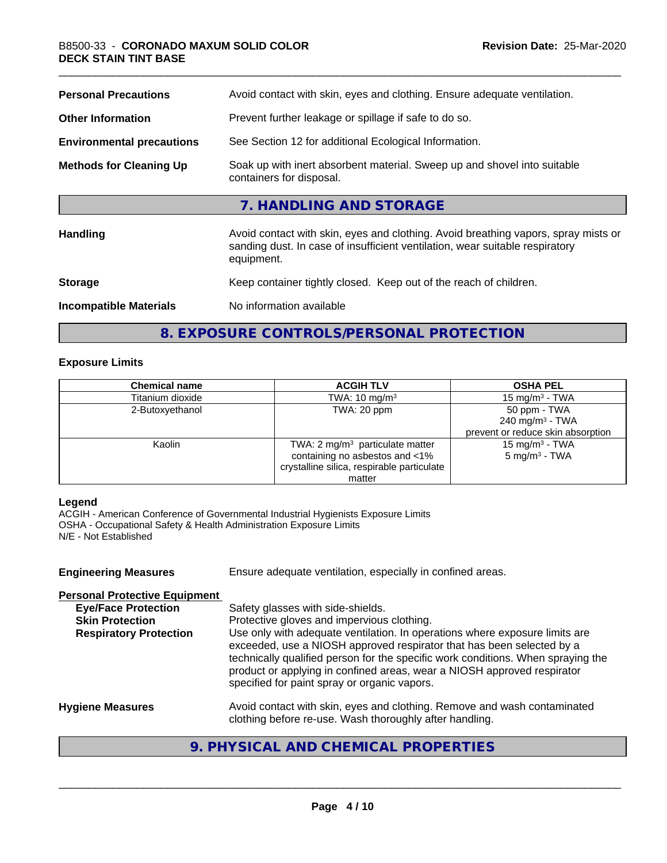| Avoid contact with skin, eyes and clothing. Ensure adequate ventilation.                                                                                                         |
|----------------------------------------------------------------------------------------------------------------------------------------------------------------------------------|
| Prevent further leakage or spillage if safe to do so.                                                                                                                            |
| See Section 12 for additional Ecological Information.                                                                                                                            |
| Soak up with inert absorbent material. Sweep up and shovel into suitable<br>containers for disposal.                                                                             |
| 7. HANDLING AND STORAGE                                                                                                                                                          |
| Avoid contact with skin, eyes and clothing. Avoid breathing vapors, spray mists or<br>sanding dust. In case of insufficient ventilation, wear suitable respiratory<br>equipment. |
| Keep container tightly closed. Keep out of the reach of children.                                                                                                                |
| No information available                                                                                                                                                         |
|                                                                                                                                                                                  |

**8. EXPOSURE CONTROLS/PERSONAL PROTECTION**

## **Exposure Limits**

| <b>Chemical name</b> | <b>ACGIH TLV</b>                           | <b>OSHA PEL</b>                   |
|----------------------|--------------------------------------------|-----------------------------------|
| Titanium dioxide     | TWA: $10 \text{ mg/m}^3$                   | 15 mg/m $3$ - TWA                 |
| 2-Butoxyethanol      | TWA: 20 ppm                                | 50 ppm - TWA                      |
|                      |                                            | 240 mg/m <sup>3</sup> - TWA       |
|                      |                                            | prevent or reduce skin absorption |
| Kaolin               | TWA: $2 \text{ mg/m}^3$ particulate matter | 15 mg/m <sup>3</sup> - TWA        |
|                      | containing no asbestos and <1%             | $5 \text{ mg/m}^3$ - TWA          |
|                      | crystalline silica, respirable particulate |                                   |
|                      | matter                                     |                                   |

## **Legend**

ACGIH - American Conference of Governmental Industrial Hygienists Exposure Limits OSHA - Occupational Safety & Health Administration Exposure Limits N/E - Not Established

| Ensure adequate ventilation, especially in confined areas.                                                                                                                                                                                                                                                                                                          |
|---------------------------------------------------------------------------------------------------------------------------------------------------------------------------------------------------------------------------------------------------------------------------------------------------------------------------------------------------------------------|
|                                                                                                                                                                                                                                                                                                                                                                     |
| Safety glasses with side-shields.                                                                                                                                                                                                                                                                                                                                   |
| Protective gloves and impervious clothing.                                                                                                                                                                                                                                                                                                                          |
| Use only with adequate ventilation. In operations where exposure limits are<br>exceeded, use a NIOSH approved respirator that has been selected by a<br>technically qualified person for the specific work conditions. When spraying the<br>product or applying in confined areas, wear a NIOSH approved respirator<br>specified for paint spray or organic vapors. |
| Avoid contact with skin, eyes and clothing. Remove and wash contaminated<br>clothing before re-use. Wash thoroughly after handling.                                                                                                                                                                                                                                 |
|                                                                                                                                                                                                                                                                                                                                                                     |

## **9. PHYSICAL AND CHEMICAL PROPERTIES**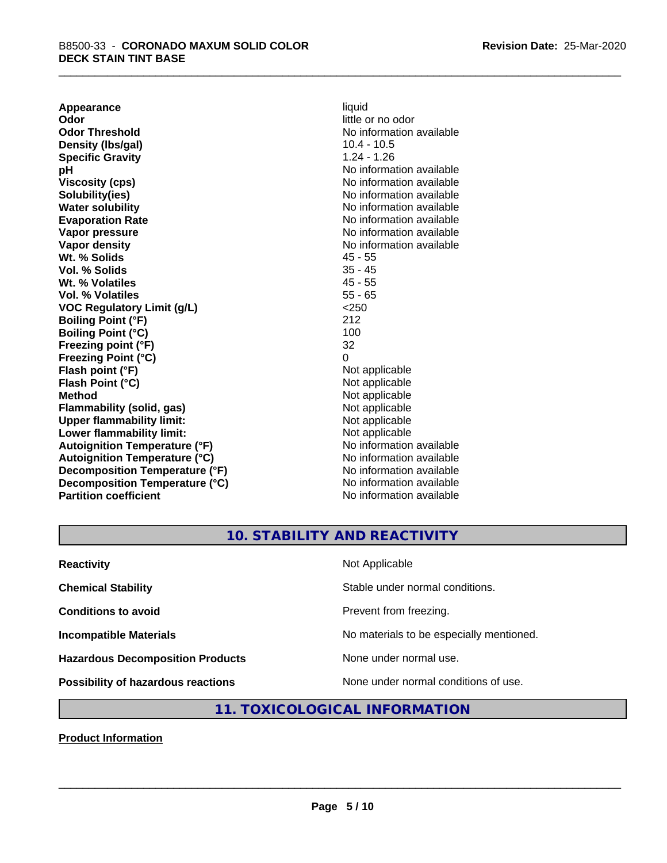**Appearance** liquid<br> **Odor** little c **Odor Threshold**<br> **Density (Ibs/qal)**<br> **Density (Ibs/qal)**<br> **Compared Alternation available**<br>
10.4 - 10.5 **Density (lbs/gal) Specific Gravity** 1.24 - 1.26 **pH** No information available **Viscosity (cps)** No information available Notice 1, 1999 **Solubility(ies)** No information available in the solution of the solution of the solution available in the solution of the solution of the solution of the solution of the solution of the solution of the solution of the so **Water solubility** No information available **Evaporation Rate No information available No information available Vapor pressure** No information available in the North American Monte available in the North American available **Vapor density**<br> **We Solids**<br>
We Solid Wi, % Solids
2018 **Wt. % Solids** 45 - 55 **Vol. % Solids Wt. % Volatiles** 45 - 55 **Vol. % Volatiles** 55 - 65 **VOC Regulatory Limit (g/L)** <250 **Boiling Point (°F)** 212 **Boiling Point (°C) Freezing point (°F)** 32 **Freezing Point (°C)** 0 **Flash point (°F)** Not applicable **Flash Point (°C) Method** Not applicable<br> **Flammability (solid, gas)** Not applicable Not applicable **Flammability** (solid, gas) **Upper flammability limit:**<br> **Lower flammability limit:**<br>
Not applicable<br>
Not applicable **Lower flammability limit:**<br> **Autoignition Temperature (°F)** Not applicable Not applicable **Autoignition Temperature (°F) Autoignition Temperature (°C)** No information available **Decomposition Temperature (°F)** No information available **Decomposition Temperature (°C)** No information available **Partition coefficient** No information available

little or no odor

## **10. STABILITY AND REACTIVITY**

| <b>Reactivity</b>                         | Not Applicable                           |
|-------------------------------------------|------------------------------------------|
| <b>Chemical Stability</b>                 | Stable under normal conditions.          |
| <b>Conditions to avoid</b>                | Prevent from freezing.                   |
| <b>Incompatible Materials</b>             | No materials to be especially mentioned. |
| <b>Hazardous Decomposition Products</b>   | None under normal use.                   |
| <b>Possibility of hazardous reactions</b> | None under normal conditions of use.     |

## **11. TOXICOLOGICAL INFORMATION**

**Product Information**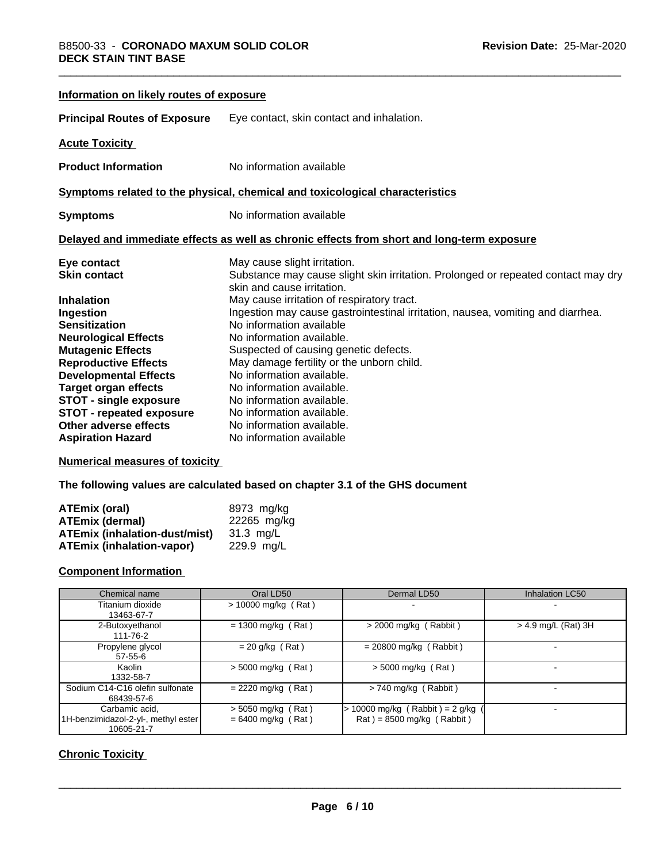| Information on likely routes of exposure |                                                                                                                 |
|------------------------------------------|-----------------------------------------------------------------------------------------------------------------|
| <b>Principal Routes of Exposure</b>      | Eye contact, skin contact and inhalation.                                                                       |
| <b>Acute Toxicity</b>                    |                                                                                                                 |
| <b>Product Information</b>               | No information available                                                                                        |
|                                          | Symptoms related to the physical, chemical and toxicological characteristics                                    |
| <b>Symptoms</b>                          | No information available                                                                                        |
|                                          | Delayed and immediate effects as well as chronic effects from short and long-term exposure                      |
| Eye contact                              | May cause slight irritation.                                                                                    |
| <b>Skin contact</b>                      | Substance may cause slight skin irritation. Prolonged or repeated contact may dry<br>skin and cause irritation. |
| <b>Inhalation</b>                        | May cause irritation of respiratory tract.                                                                      |
| Ingestion                                | Ingestion may cause gastrointestinal irritation, nausea, vomiting and diarrhea.                                 |
| <b>Sensitization</b>                     | No information available                                                                                        |
| <b>Neurological Effects</b>              | No information available.                                                                                       |
| <b>Mutagenic Effects</b>                 | Suspected of causing genetic defects.                                                                           |
| <b>Reproductive Effects</b>              | May damage fertility or the unborn child.                                                                       |
| <b>Developmental Effects</b>             | No information available.                                                                                       |
| <b>Target organ effects</b>              | No information available.                                                                                       |
| <b>STOT - single exposure</b>            | No information available.                                                                                       |
| <b>STOT - repeated exposure</b>          | No information available.                                                                                       |
| Other adverse effects                    | No information available.                                                                                       |
| <b>Aspiration Hazard</b>                 | No information available                                                                                        |

## **Numerical measures of toxicity**

**The following values are calculated based on chapter 3.1 of the GHS document**

| ATEmix (oral)                        | 8973 mg/ka  |
|--------------------------------------|-------------|
| ATEmix (dermal)                      | 22265 mg/kg |
| <b>ATEmix (inhalation-dust/mist)</b> | 31.3 ma/L   |
| <b>ATEmix (inhalation-vapor)</b>     | 229.9 ma/L  |

## **Component Information**

| Chemical name                                                       | Oral LD50                                    | Dermal LD50                                                          | <b>Inhalation LC50</b> |
|---------------------------------------------------------------------|----------------------------------------------|----------------------------------------------------------------------|------------------------|
| Titanium dioxide<br>13463-67-7                                      | $> 10000$ mg/kg (Rat)                        | $\overline{\phantom{0}}$                                             |                        |
| 2-Butoxyethanol<br>111-76-2                                         | $= 1300$ mg/kg (Rat)                         | $>$ 2000 mg/kg (Rabbit)                                              | $>$ 4.9 mg/L (Rat) 3H  |
| Propylene glycol<br>$57 - 55 - 6$                                   | $= 20$ g/kg (Rat)                            | $= 20800$ mg/kg (Rabbit)                                             |                        |
| Kaolin<br>1332-58-7                                                 | $> 5000$ mg/kg (Rat)                         | $>$ 5000 mg/kg (Rat)                                                 |                        |
| Sodium C14-C16 olefin sulfonate<br>68439-57-6                       | $= 2220$ mg/kg (Rat)                         | $> 740$ mg/kg (Rabbit)                                               |                        |
| Carbamic acid.<br>1H-benzimidazol-2-yl-, methyl ester<br>10605-21-7 | $>$ 5050 mg/kg (Rat)<br>$= 6400$ mg/kg (Rat) | $\cdot$ 10000 mg/kg (Rabbit) = 2 g/kg<br>$Rat$ = 8500 mg/kg (Rabbit) |                        |

## **Chronic Toxicity**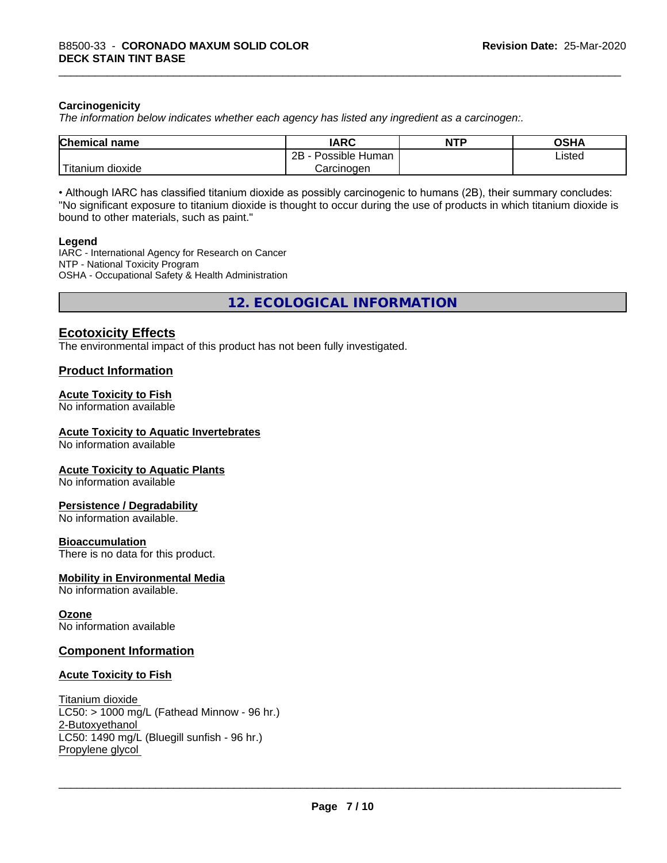## **Carcinogenicity**

*The information below indicateswhether each agency has listed any ingredient as a carcinogen:.*

| <b>Chemical name</b>                       | <b>IARC</b>                     | <b>NTP</b> | <b>OSHA</b> |
|--------------------------------------------|---------------------------------|------------|-------------|
|                                            | .<br>2R<br>Possible Human<br>40 |            | Listed<br>. |
| . . <del>. .</del><br>dioxide<br>I itanium | Carcinogen                      |            |             |

• Although IARC has classified titanium dioxide as possibly carcinogenic to humans (2B), their summary concludes: "No significant exposure to titanium dioxide is thought to occur during the use of products in which titanium dioxide is bound to other materials, such as paint."

## **Legend**

IARC - International Agency for Research on Cancer NTP - National Toxicity Program OSHA - Occupational Safety & Health Administration

**12. ECOLOGICAL INFORMATION**

## **Ecotoxicity Effects**

The environmental impact of this product has not been fully investigated.

## **Product Information**

## **Acute Toxicity to Fish**

No information available

## **Acute Toxicity to Aquatic Invertebrates**

No information available

## **Acute Toxicity to Aquatic Plants**

No information available

## **Persistence / Degradability**

No information available.

## **Bioaccumulation**

There is no data for this product.

## **Mobility in Environmental Media**

No information available.

## **Ozone**

No information available

## **Component Information**

## **Acute Toxicity to Fish**

Titanium dioxide  $LC50:$  > 1000 mg/L (Fathead Minnow - 96 hr.) 2-Butoxyethanol LC50: 1490 mg/L (Bluegill sunfish - 96 hr.) Propylene glycol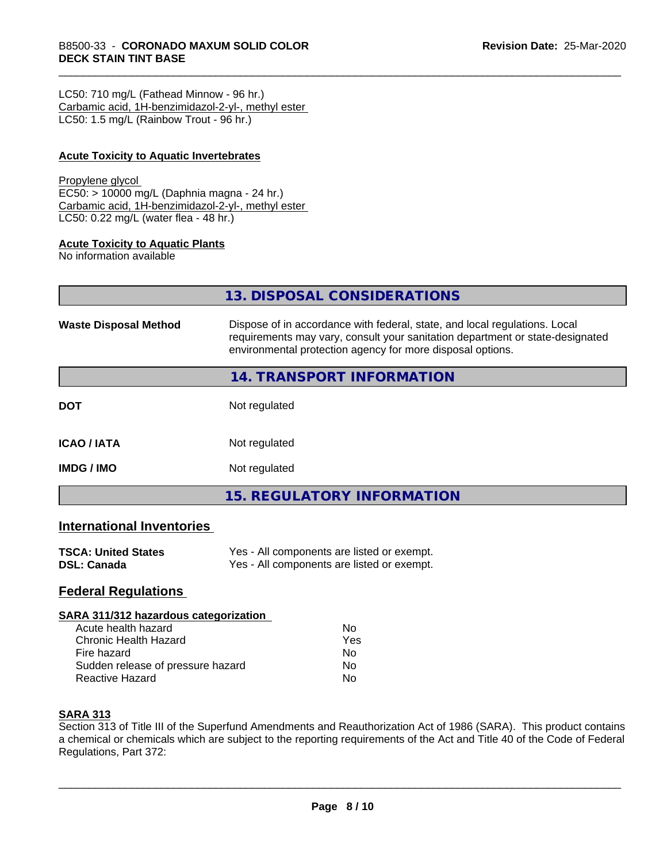LC50: 710 mg/L (Fathead Minnow - 96 hr.) Carbamic acid, 1H-benzimidazol-2-yl-, methyl ester LC50: 1.5 mg/L (Rainbow Trout - 96 hr.)

## **Acute Toxicity to Aquatic Invertebrates**

#### Propylene glycol

EC50: > 10000 mg/L (Daphnia magna - 24 hr.) Carbamic acid, 1H-benzimidazol-2-yl-, methyl ester LC50: 0.22 mg/L (water flea - 48 hr.)

## **Acute Toxicity to Aquatic Plants**

No information available

|                              | 13. DISPOSAL CONSIDERATIONS                                                                                                                                                                                               |
|------------------------------|---------------------------------------------------------------------------------------------------------------------------------------------------------------------------------------------------------------------------|
| <b>Waste Disposal Method</b> | Dispose of in accordance with federal, state, and local regulations. Local<br>requirements may vary, consult your sanitation department or state-designated<br>environmental protection agency for more disposal options. |
|                              | <b>14. TRANSPORT INFORMATION</b>                                                                                                                                                                                          |
| <b>DOT</b>                   | Not regulated                                                                                                                                                                                                             |
| <b>ICAO / IATA</b>           | Not regulated                                                                                                                                                                                                             |
| IMDG / IMO                   | Not regulated                                                                                                                                                                                                             |
|                              | <b>15. REGULATORY INFORMATION</b>                                                                                                                                                                                         |
|                              |                                                                                                                                                                                                                           |

## **International Inventories**

| <b>TSCA: United States</b> | Yes - All components are listed or exempt. |
|----------------------------|--------------------------------------------|
| <b>DSL: Canada</b>         | Yes - All components are listed or exempt. |

## **Federal Regulations**

#### **SARA 311/312 hazardous categorization**

| Acute health hazard               | N٥  |  |
|-----------------------------------|-----|--|
| Chronic Health Hazard             | Yes |  |
| Fire hazard                       | N٥  |  |
| Sudden release of pressure hazard | N٥  |  |
| Reactive Hazard                   | N٥  |  |

## **SARA 313**

Section 313 of Title III of the Superfund Amendments and Reauthorization Act of 1986 (SARA). This product contains a chemical or chemicals which are subject to the reporting requirements of the Act and Title 40 of the Code of Federal Regulations, Part 372: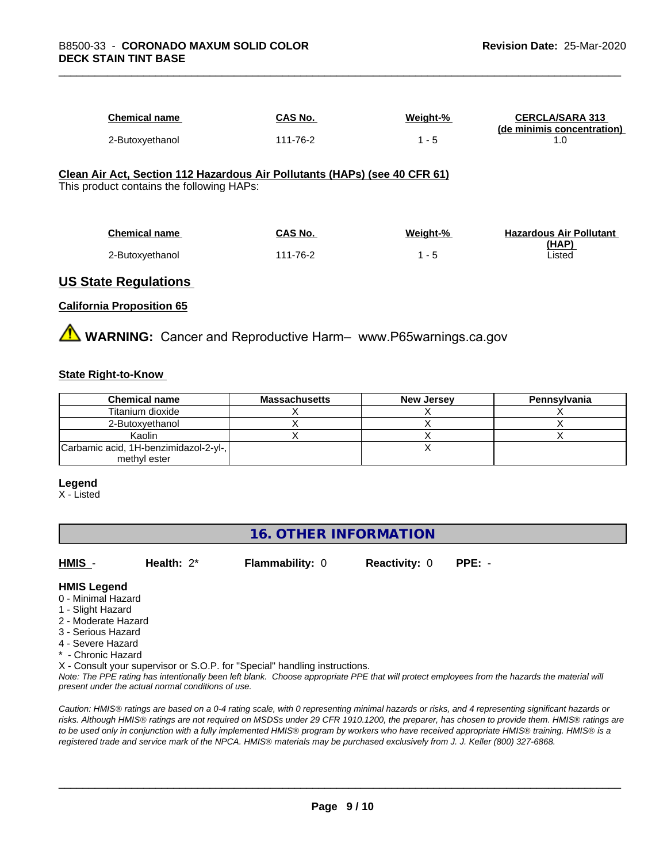| Chemical name   | <b>CAS No.</b> | Weight-% | <b>CERCLA/SARA 313</b><br>(de minimis concentration) |
|-----------------|----------------|----------|------------------------------------------------------|
| 2-Butoxyethanol | 111-76-2       | . .      |                                                      |

#### **Clean Air Act,Section 112 Hazardous Air Pollutants (HAPs) (see 40 CFR 61)** This product contains the following HAPs:

| <b>Chemical name</b> | <b>CAS No.</b> | Weight-% | <b>Hazardous Air Pollutant</b> |
|----------------------|----------------|----------|--------------------------------|
|                      |                |          | (HAP)                          |
| 2-Butoxyethanol      | 111-76-2       | -5       | Listed                         |

## **US State Regulations**

## **California Proposition 65**

**A** WARNING: Cancer and Reproductive Harm– www.P65warnings.ca.gov

## **State Right-to-Know**

| <b>Chemical name</b>                  | <b>Massachusetts</b> | <b>New Jersey</b> | Pennsylvania |
|---------------------------------------|----------------------|-------------------|--------------|
| Titanium dioxide                      |                      |                   |              |
| 2-Butoxvethanol                       |                      |                   |              |
| Kaolin                                |                      |                   |              |
| Carbamic acid, 1H-benzimidazol-2-yl-, |                      |                   |              |
| methyl ester                          |                      |                   |              |

#### **Legend**

X - Listed

## **16. OTHER INFORMATION**

**HMIS** - **Health:** 2\* **Flammability:** 0 **Reactivity:** 0 **PPE:** -

## **HMIS Legend**

- 0 Minimal Hazard
- 1 Slight Hazard
- 2 Moderate Hazard
- 3 Serious Hazard
- 4 Severe Hazard
- \* Chronic Hazard

X - Consult your supervisor or S.O.P. for "Special" handling instructions.

*Note: The PPE rating has intentionally been left blank. Choose appropriate PPE that will protect employees from the hazards the material will present under the actual normal conditions of use.*

*Caution: HMISÒ ratings are based on a 0-4 rating scale, with 0 representing minimal hazards or risks, and 4 representing significant hazards or risks. Although HMISÒ ratings are not required on MSDSs under 29 CFR 1910.1200, the preparer, has chosen to provide them. HMISÒ ratings are to be used only in conjunction with a fully implemented HMISÒ program by workers who have received appropriate HMISÒ training. HMISÒ is a registered trade and service mark of the NPCA. HMISÒ materials may be purchased exclusively from J. J. Keller (800) 327-6868.*